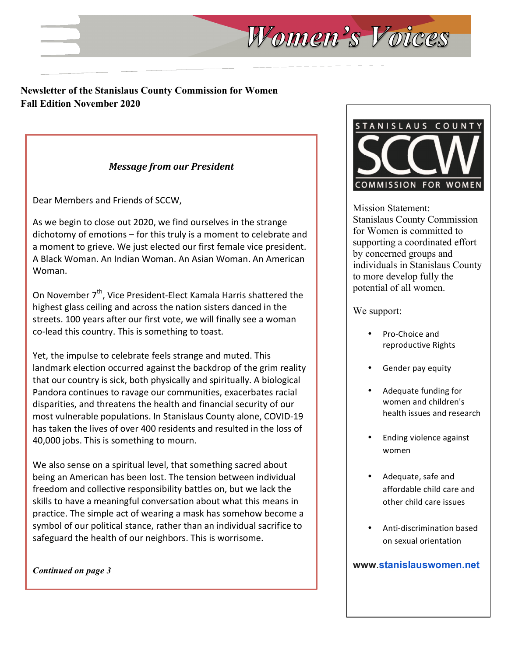# **Newsletter of the Stanislaus County Commission for Women Fall Edition November 2020**

# *Message from our President*

Dear Members and Friends of SCCW,

As we begin to close out 2020, we find ourselves in the strange dichotomy of emotions  $-$  for this truly is a moment to celebrate and a moment to grieve. We just elected our first female vice president. A Black Woman. An Indian Woman. An Asian Woman. An American Woman.

On November  $7<sup>th</sup>$ , Vice President-Elect Kamala Harris shattered the highest glass ceiling and across the nation sisters danced in the streets. 100 years after our first vote, we will finally see a woman co-lead this country. This is something to toast.

Yet, the impulse to celebrate feels strange and muted. This landmark election occurred against the backdrop of the grim reality that our country is sick, both physically and spiritually. A biological Pandora continues to ravage our communities, exacerbates racial disparities, and threatens the health and financial security of our most vulnerable populations. In Stanislaus County alone, COVID-19 has taken the lives of over 400 residents and resulted in the loss of 40,000 jobs. This is something to mourn.

We also sense on a spiritual level, that something sacred about being an American has been lost. The tension between individual freedom and collective responsibility battles on, but we lack the skills to have a meaningful conversation about what this means in practice. The simple act of wearing a mask has somehow become a symbol of our political stance, rather than an individual sacrifice to safeguard the health of our neighbors. This is worrisome.

*Continued on page 3*



Mission Statement: Stanislaus County Commission for Women is committed to supporting a coordinated effort by concerned groups and individuals in Stanislaus County to more develop fully the potential of all women.

We support:

Women's Voices

- Pro-Choice and reproductive Rights
- Gender pay equity
- Adequate funding for women and children's health issues and research
- **Ending violence against** women
- Adequate, safe and affordable child care and other child care issues
- Anti-discrimination based on sexual orientation

**www**.**stanislauswomen.net**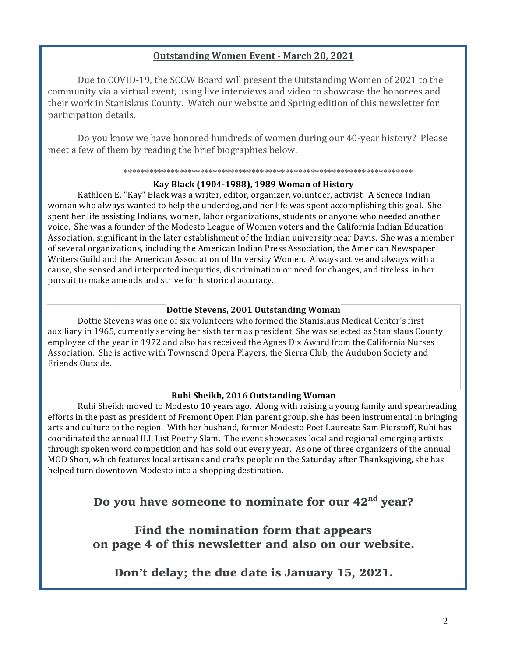## **Outstanding Women Event - March 20, 2021**

Due to COVID-19, the SCCW Board will present the Outstanding Women of 2021 to the community via a virtual event, using live interviews and video to showcase the honorees and their work in Stanislaus County. Watch our website and Spring edition of this newsletter for participation details.

Do you know we have honored hundreds of women during our 40-year history? Please meet a few of them by reading the brief biographies below.

#### \*\*\*\*\*\*\*\*\*\*\*\*\*\*\*\*\*\*\*\*\*\*\*\*\*\*\*\*\*\*\*\*\*\*\*\*\*\*\*\*\*\*\*\*\*\*\*\*\*\*\*\*\*\*\*\*\*\*\*\*\*\*\*\*\*\*\*\*

### **Kay Black (1904-1988), 1989 Woman of History**

Kathleen E. "Kay" Black was a writer, editor, organizer, volunteer, activist. A Seneca Indian woman who always wanted to help the underdog, and her life was spent accomplishing this goal. She spent her life assisting Indians, women, labor organizations, students or anyone who needed another voice. She was a founder of the Modesto League of Women voters and the California Indian Education Association, significant in the later establishment of the Indian university near Davis. She was a member of several organizations, including the American Indian Press Association, the American Newspaper Writers Guild and the American Association of University Women. Always active and always with a cause, she sensed and interpreted inequities, discrimination or need for changes, and tireless in her pursuit to make amends and strive for historical accuracy.

### **Dottie Stevens, 2001 Outstanding Woman**

Dottie Stevens was one of six volunteers who formed the Stanislaus Medical Center's first auxiliary in 1965, currently serving her sixth term as president. She was selected as Stanislaus County employee of the year in 1972 and also has received the Agnes Dix Award from the California Nurses Association. She is active with Townsend Opera Players, the Sierra Club, the Audubon Society and Friends Outside.

## **Ruhi Sheikh, 2016 Outstanding Woman**

Ruhi Sheikh moved to Modesto 10 years ago. Along with raising a young family and spearheading efforts in the past as president of Fremont Open Plan parent group, she has been instrumental in bringing arts and culture to the region. With her husband, former Modesto Poet Laureate Sam Pierstoff, Ruhi has coordinated the annual ILL List Poetry Slam. The event showcases local and regional emerging artists through spoken word competition and has sold out every year. As one of three organizers of the annual MOD Shop, which features local artisans and crafts people on the Saturday after Thanksgiving, she has helped turn downtown Modesto into a shopping destination.

# Do you have someone to nominate for our 42<sup>nd</sup> year?

Find the nomination form that appears on page 4 of this newsletter and also on our website.

Don't delay; the due date is January 15, 2021.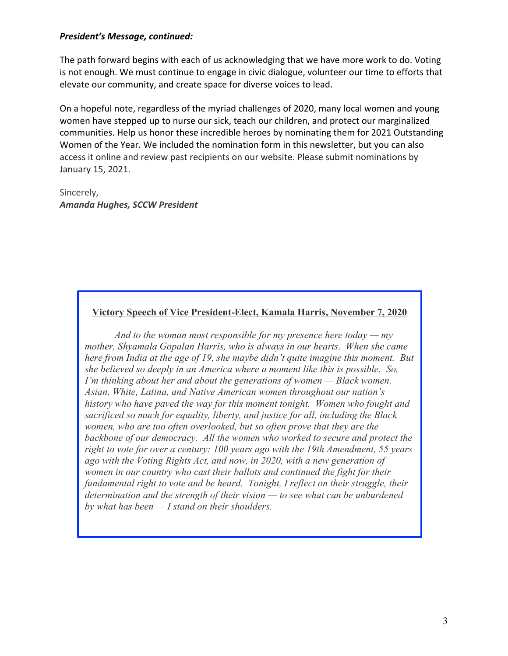## *President's Message, continued:*

The path forward begins with each of us acknowledging that we have more work to do. Voting is not enough. We must continue to engage in civic dialogue, volunteer our time to efforts that elevate our community, and create space for diverse voices to lead.

On a hopeful note, regardless of the myriad challenges of 2020, many local women and young women have stepped up to nurse our sick, teach our children, and protect our marginalized communities. Help us honor these incredible heroes by nominating them for 2021 Outstanding Women of the Year. We included the nomination form in this newsletter, but you can also access it online and review past recipients on our website. Please submit nominations by January 15, 2021.

Sincerely, *Amanda Hughes, SCCW President*

## **Victory Speech of Vice President-Elect, Kamala Harris, November 7, 2020**

*And to the woman most responsible for my presence here today — my mother, Shyamala Gopalan Harris, who is always in our hearts. When she came here from India at the age of 19, she maybe didn't quite imagine this moment. But she believed so deeply in an America where a moment like this is possible. So, I'm thinking about her and about the generations of women — Black women. Asian, White, Latina, and Native American women throughout our nation's history who have paved the way for this moment tonight. Women who fought and sacrificed so much for equality, liberty, and justice for all, including the Black women, who are too often overlooked, but so often prove that they are the backbone of our democracy. All the women who worked to secure and protect the right to vote for over a century: 100 years ago with the 19th Amendment, 55 years ago with the Voting Rights Act, and now, in 2020, with a new generation of women in our country who cast their ballots and continued the fight for their fundamental right to vote and be heard. Tonight, I reflect on their struggle, their determination and the strength of their vision — to see what can be unburdened by what has been — I stand on their shoulders.*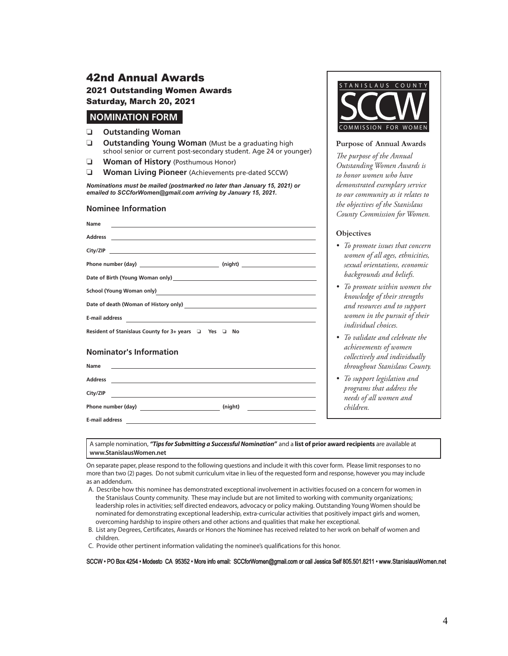## 42nd Annual Awards 2021 Outstanding Women Awards Saturday, March 20, 2021

### **NOMINATION FORM**

#### ❏ **Outstanding Woman**

- ❏ **Outstanding Young Woman** (Must be a graduating high school senior or current post-secondary student. Age 24 or younger)
- ❏ **Woman of History** (Posthumous Honor)
- ❏ **Woman Living Pioneer** (Achievements pre-dated SCCW)

*Nominations must be mailed (postmarked no later than January 15, 2021) or emailed to SCCforWomen@gmail.com arriving by January 15, 2021.*

### **Nominee Information**

| Name<br><u> 1989 - Johann Stoff, Amerikaansk politiker († 1989)</u> |  |  |
|---------------------------------------------------------------------|--|--|
|                                                                     |  |  |
|                                                                     |  |  |
|                                                                     |  |  |
|                                                                     |  |  |
| School (Young Woman only)<br><u>Conservation</u>                    |  |  |
|                                                                     |  |  |
| E-mail address $\overline{\qquad \qquad }$                          |  |  |
| Resident of Stanislaus County for $3+$ years $\Box$ Yes $\Box$ No   |  |  |

### **Nominator's Information**

| Name                  |                                                                                                                                                                                                                                                           |
|-----------------------|-----------------------------------------------------------------------------------------------------------------------------------------------------------------------------------------------------------------------------------------------------------|
| <b>Address</b>        | <u> 1980 - Jan Sterling von Berling von Berling von Berling von Berling von Berling von Berling von Berling von B</u>                                                                                                                                     |
| City/ZIP              |                                                                                                                                                                                                                                                           |
| Phone number (day)    | (night)<br><u> 1989 - Johann Harry Harry Harry Harry Harry Harry Harry Harry Harry Harry Harry Harry Harry Harry Harry Harry</u><br><u> 1980 - Jan Samuel Barbara, politik eta provincia eta politik eta provincia eta politik eta provincia eta poli</u> |
| <b>E-mail address</b> |                                                                                                                                                                                                                                                           |



#### **Purpose of Annual Awards**

*Te purpose of the Annual Outstanding Women Awards is to honor women who have demonstrated exemplary service to our community as it relates to the objectives of the Stanislaus County Commission for Women.*

### **Objectives**

- *To promote issues that concern women of all ages, ethnicities, sexual orientations, economic backgrounds and beliefs.*
- *To promote within women the knowledge of their strengths and resources and to support women in the pursuit of their individual choices.*
- *To validate and celebrate the achievements of women collectively and individually throughout Stanislaus County.*
- *To support legislation and programs that address the needs of all women and children.*

A sample nomination, *"Tips for Submitting a Successful Nomination"* and a **list of prior award recipients** are available at **www.StanislausWomen.net**

On separate paper, please respond to the following questions and include it with this cover form. Please limit responses to no more than two (2) pages. Do not submit curriculum vitae in lieu of the requested form and response, however you may include as an addendum.

- A. Describe how this nominee has demonstrated exceptional involvement in activities focused on a concern for women in the Stanislaus County community. These may include but are not limited to working with community organizations; leadership roles in activities; self directed endeavors, advocacy or policy making. Outstanding Young Women should be nominated for demonstrating exceptional leadership, extra-curricular activities that positively impact girls and women, overcoming hardship to inspire others and other actions and qualities that make her exceptional.
- B. List any Degrees, Certifcates, Awards or Honors the Nominee has received related to her work on behalf of women and children.

C. Provide other pertinent information validating the nominee's qualifcations for this honor.

SCCW • PO Box 4254 • Modesto CA 95352 • More info email: SCCforWomen@gmail.com or call Jessica Self 805.501.8211 • www.StanislausWomen.net